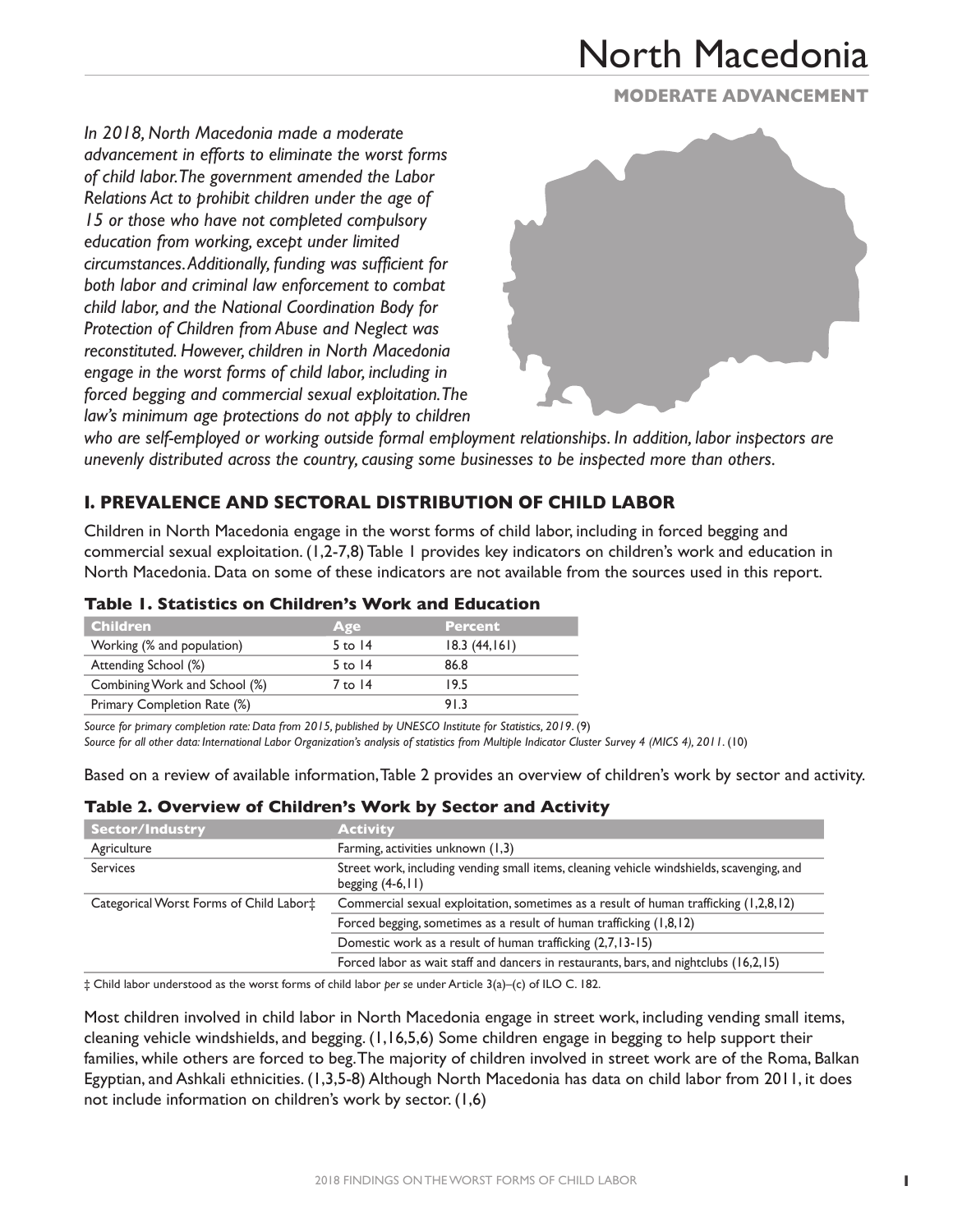**MODERATE Advancement**

*In 2018, North Macedonia made a moderate advancement in efforts to eliminate the worst forms of child labor. The government amended the Labor Relations Act to prohibit children under the age of 15 or those who have not completed compulsory education from working, except under limited circumstances. Additionally, funding was sufficient for both labor and criminal law enforcement to combat child labor, and the National Coordination Body for Protection of Children from Abuse and Neglect was reconstituted. However, children in North Macedonia engage in the worst forms of child labor, including in forced begging and commercial sexual exploitation. The law's minimum age protections do not apply to children* 



*who are self-employed or working outside formal employment relationships. In addition, labor inspectors are unevenly distributed across the country, causing some businesses to be inspected more than others.*

## **I. Prevalence and Sectoral Distribution of Child Labor**

Children in North Macedonia engage in the worst forms of child labor, including in forced begging and commercial sexual exploitation. (1,2-7,8) Table 1 provides key indicators on children's work and education in North Macedonia. Data on some of these indicators are not available from the sources used in this report.

#### **Table 1. Statistics on Children's Work and Education**

| <b>Children</b>               | Age       | <b>Percent</b> |
|-------------------------------|-----------|----------------|
| Working (% and population)    | $5$ to 14 | 18.3(44,161)   |
| Attending School (%)          | $5$ to 14 | 86.8           |
| Combining Work and School (%) | 7 to 14   | 19.5           |
| Primary Completion Rate (%)   |           | 913            |

*Source for primary completion rate: Data from 2015, published by UNESCO Institute for Statistics, 2019*. (9)

*Source for all other data: International Labor Organization's analysis of statistics from Multiple Indicator Cluster Survey 4 (MICS 4), 2011*. (10)

Based on a review of available information, Table 2 provides an overview of children's work by sector and activity.

#### **Table 2. Overview of Children's Work by Sector and Activity**

| <b>Sector/Industry</b>                  | <b>Activity</b>                                                                                                 |
|-----------------------------------------|-----------------------------------------------------------------------------------------------------------------|
| Agriculture                             | Farming, activities unknown (1,3)                                                                               |
| <b>Services</b>                         | Street work, including vending small items, cleaning vehicle windshields, scavenging, and<br>begging $(4-6,11)$ |
| Categorical Worst Forms of Child Labor‡ | Commercial sexual exploitation, sometimes as a result of human trafficking (1,2,8,12)                           |
|                                         | Forced begging, sometimes as a result of human trafficking (1,8,12)                                             |
|                                         | Domestic work as a result of human trafficking (2,7,13-15)                                                      |
|                                         | Forced labor as wait staff and dancers in restaurants, bars, and nightclubs (16,2,15)                           |

‡ Child labor understood as the worst forms of child labor *per se* under Article 3(a)–(c) of ILO C. 182.

Most children involved in child labor in North Macedonia engage in street work, including vending small items, cleaning vehicle windshields, and begging. (1,16,5,6) Some children engage in begging to help support their families, while others are forced to beg. The majority of children involved in street work are of the Roma, Balkan Egyptian, and Ashkali ethnicities. (1,3,5-8) Although North Macedonia has data on child labor from 2011, it does not include information on children's work by sector. (1,6)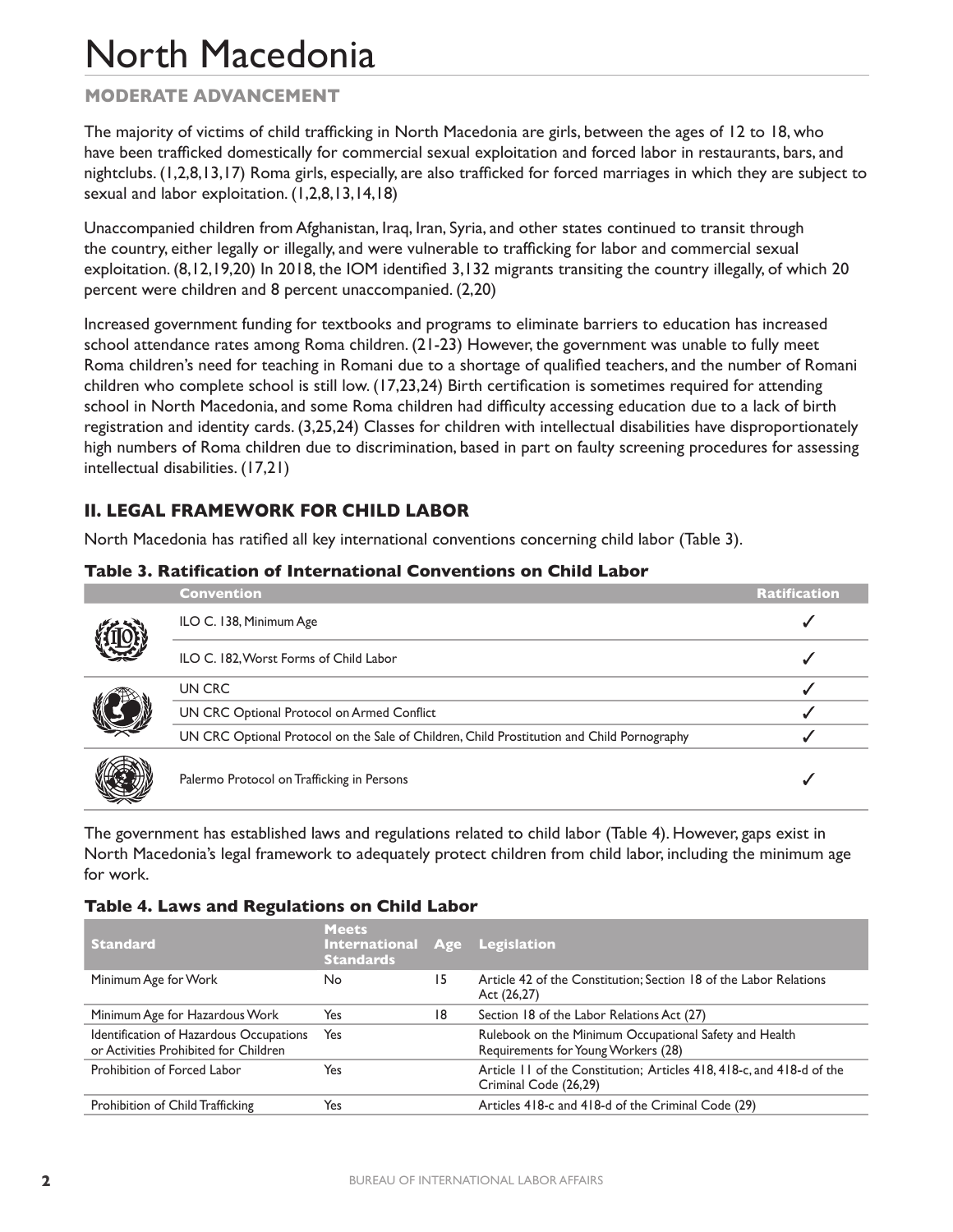## **MODERATE Advancement**

The majority of victims of child trafficking in North Macedonia are girls, between the ages of 12 to 18, who have been trafficked domestically for commercial sexual exploitation and forced labor in restaurants, bars, and nightclubs. (1,2,8,13,17) Roma girls, especially, are also trafficked for forced marriages in which they are subject to sexual and labor exploitation. (1,2,8,13,14,18)

Unaccompanied children from Afghanistan, Iraq, Iran, Syria, and other states continued to transit through the country, either legally or illegally, and were vulnerable to trafficking for labor and commercial sexual exploitation. (8,12,19,20) In 2018, the IOM identified 3,132 migrants transiting the country illegally, of which 20 percent were children and 8 percent unaccompanied. (2,20)

Increased government funding for textbooks and programs to eliminate barriers to education has increased school attendance rates among Roma children. (21-23) However, the government was unable to fully meet Roma children's need for teaching in Romani due to a shortage of qualified teachers, and the number of Romani children who complete school is still low. (17,23,24) Birth certification is sometimes required for attending school in North Macedonia, and some Roma children had difficulty accessing education due to a lack of birth registration and identity cards. (3,25,24) Classes for children with intellectual disabilities have disproportionately high numbers of Roma children due to discrimination, based in part on faulty screening procedures for assessing intellectual disabilities. (17,21)

## **II. Legal Framework for Child Labor**

North Macedonia has ratified all key international conventions concerning child labor (Table 3).

### **Table 3. Ratification of International Conventions on Child Labor**

|  | <b>Convention</b>                                                                          | <b>Ratification</b> |
|--|--------------------------------------------------------------------------------------------|---------------------|
|  | ILO C. 138, Minimum Age                                                                    |                     |
|  | ILO C. 182, Worst Forms of Child Labor                                                     |                     |
|  | UN CRC                                                                                     |                     |
|  | UN CRC Optional Protocol on Armed Conflict                                                 |                     |
|  | UN CRC Optional Protocol on the Sale of Children, Child Prostitution and Child Pornography |                     |
|  | Palermo Protocol on Trafficking in Persons                                                 |                     |

The government has established laws and regulations related to child labor (Table 4). However, gaps exist in North Macedonia's legal framework to adequately protect children from child labor, including the minimum age for work.

#### **Table 4. Laws and Regulations on Child Labor**

| <b>Standard</b>                                                                  | <b>Meets</b><br>International Age Legislation<br><b>Standards</b> |    |                                                                                                |
|----------------------------------------------------------------------------------|-------------------------------------------------------------------|----|------------------------------------------------------------------------------------------------|
| Minimum Age for Work                                                             | No.                                                               | 15 | Article 42 of the Constitution; Section 18 of the Labor Relations<br>Act (26,27)               |
| Minimum Age for Hazardous Work                                                   | Yes                                                               | 18 | Section 18 of the Labor Relations Act (27)                                                     |
| Identification of Hazardous Occupations<br>or Activities Prohibited for Children | Yes                                                               |    | Rulebook on the Minimum Occupational Safety and Health<br>Requirements for Young Workers (28)  |
| Prohibition of Forced Labor                                                      | Yes                                                               |    | Article 11 of the Constitution; Articles 418, 418-c, and 418-d of the<br>Criminal Code (26,29) |
| Prohibition of Child Trafficking                                                 | Yes                                                               |    | Articles 418-c and 418-d of the Criminal Code (29)                                             |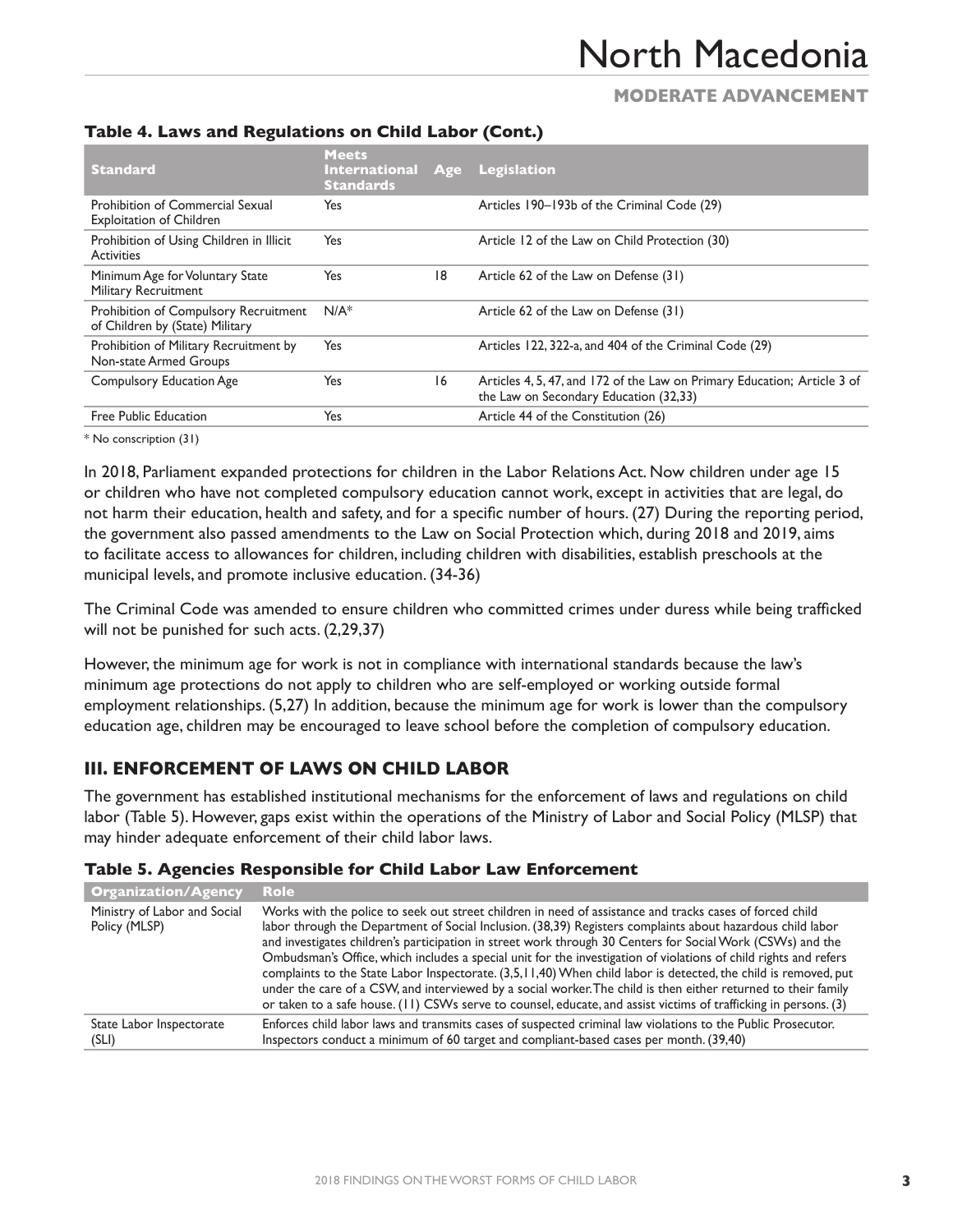## **MODERATE Advancement**

| <b>Standard</b>                                                          | <b>Meets</b><br><b>International</b><br><b>Standards</b> | Age | Legislation                                                                                                        |
|--------------------------------------------------------------------------|----------------------------------------------------------|-----|--------------------------------------------------------------------------------------------------------------------|
| Prohibition of Commercial Sexual<br><b>Exploitation of Children</b>      | Yes                                                      |     | Articles 190-193b of the Criminal Code (29)                                                                        |
| Prohibition of Using Children in Illicit<br><b>Activities</b>            | Yes                                                      |     | Article 12 of the Law on Child Protection (30)                                                                     |
| Minimum Age for Voluntary State<br><b>Military Recruitment</b>           | Yes                                                      | 18  | Article 62 of the Law on Defense (31)                                                                              |
| Prohibition of Compulsory Recruitment<br>of Children by (State) Military | $N/A^*$                                                  |     | Article 62 of the Law on Defense (31)                                                                              |
| Prohibition of Military Recruitment by<br>Non-state Armed Groups         | Yes                                                      |     | Articles 122, 322-a, and 404 of the Criminal Code (29)                                                             |
| <b>Compulsory Education Age</b>                                          | Yes                                                      | 16  | Articles 4, 5, 47, and 172 of the Law on Primary Education; Article 3 of<br>the Law on Secondary Education (32,33) |
| Free Public Education                                                    | Yes                                                      |     | Article 44 of the Constitution (26)                                                                                |

### **Table 4. Laws and Regulations on Child Labor (Cont.)**

\* No conscription (31)

In 2018, Parliament expanded protections for children in the Labor Relations Act. Now children under age 15 or children who have not completed compulsory education cannot work, except in activities that are legal, do not harm their education, health and safety, and for a specific number of hours. (27) During the reporting period, the government also passed amendments to the Law on Social Protection which, during 2018 and 2019, aims to facilitate access to allowances for children, including children with disabilities, establish preschools at the municipal levels, and promote inclusive education. (34-36)

The Criminal Code was amended to ensure children who committed crimes under duress while being trafficked will not be punished for such acts. (2,29,37)

However, the minimum age for work is not in compliance with international standards because the law's minimum age protections do not apply to children who are self-employed or working outside formal employment relationships. (5,27) In addition, because the minimum age for work is lower than the compulsory education age, children may be encouraged to leave school before the completion of compulsory education.

## **III. Enforcement of Laws on Child Labor**

The government has established institutional mechanisms for the enforcement of laws and regulations on child labor (Table 5). However, gaps exist within the operations of the Ministry of Labor and Social Policy (MLSP) that may hinder adequate enforcement of their child labor laws.

### **Table 5. Agencies Responsible for Child Labor Law Enforcement**

| <b>Organization/Agency</b>                    | <b>Role</b>                                                                                                                                                                                                                                                                                                                                                                                                                                                                                                                                                                                                                                                                                                                                                                                                       |
|-----------------------------------------------|-------------------------------------------------------------------------------------------------------------------------------------------------------------------------------------------------------------------------------------------------------------------------------------------------------------------------------------------------------------------------------------------------------------------------------------------------------------------------------------------------------------------------------------------------------------------------------------------------------------------------------------------------------------------------------------------------------------------------------------------------------------------------------------------------------------------|
| Ministry of Labor and Social<br>Policy (MLSP) | Works with the police to seek out street children in need of assistance and tracks cases of forced child<br>labor through the Department of Social Inclusion. (38,39) Registers complaints about hazardous child labor<br>and investigates children's participation in street work through 30 Centers for Social Work (CSWs) and the<br>Ombudsman's Office, which includes a special unit for the investigation of violations of child rights and refers<br>complaints to the State Labor Inspectorate. (3,5,11,40) When child labor is detected, the child is removed, put<br>under the care of a CSW, and interviewed by a social worker. The child is then either returned to their family<br>or taken to a safe house. (11) CSWs serve to counsel, educate, and assist victims of trafficking in persons. (3) |
| State Labor Inspectorate<br>(SLI)             | Enforces child labor laws and transmits cases of suspected criminal law violations to the Public Prosecutor.<br>Inspectors conduct a minimum of 60 target and compliant-based cases per month. (39,40)                                                                                                                                                                                                                                                                                                                                                                                                                                                                                                                                                                                                            |
|                                               |                                                                                                                                                                                                                                                                                                                                                                                                                                                                                                                                                                                                                                                                                                                                                                                                                   |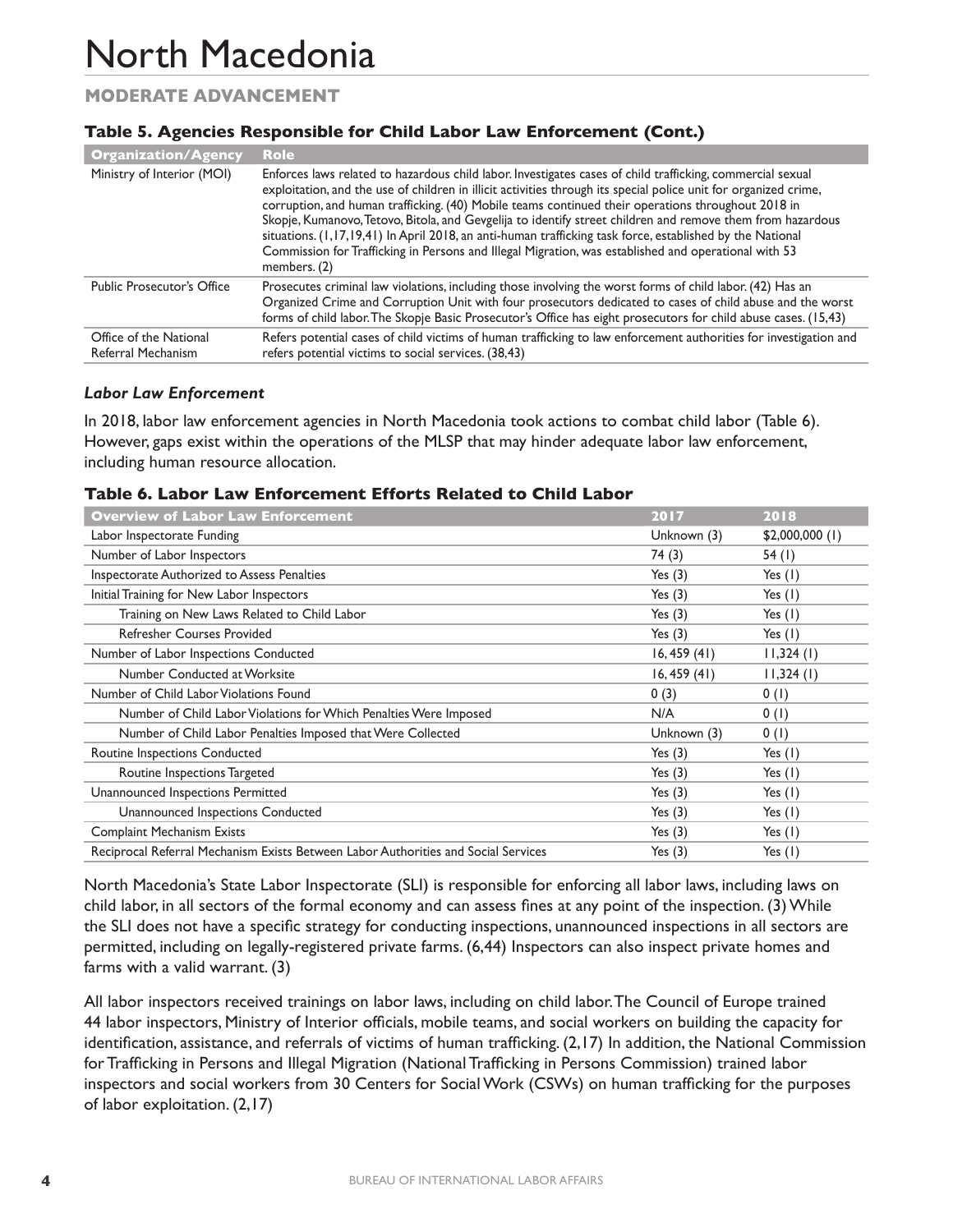## **MODERATE Advancement**

### **Table 5. Agencies Responsible for Child Labor Law Enforcement (Cont.)**

| <b>Organization/Agency</b>                   | <b>Role</b>                                                                                                                                                                                                                                                                                                                                                                                                                                                                                                                                                                                                                                                                             |
|----------------------------------------------|-----------------------------------------------------------------------------------------------------------------------------------------------------------------------------------------------------------------------------------------------------------------------------------------------------------------------------------------------------------------------------------------------------------------------------------------------------------------------------------------------------------------------------------------------------------------------------------------------------------------------------------------------------------------------------------------|
| Ministry of Interior (MOI)                   | Enforces laws related to hazardous child labor. Investigates cases of child trafficking, commercial sexual<br>exploitation, and the use of children in illicit activities through its special police unit for organized crime,<br>corruption, and human trafficking. (40) Mobile teams continued their operations throughout 2018 in<br>Skopje, Kumanovo, Tetovo, Bitola, and Gevgelija to identify street children and remove them from hazardous<br>situations. (1,17,19,41) In April 2018, an anti-human trafficking task force, established by the National<br>Commission for Trafficking in Persons and Illegal Migration, was established and operational with 53<br>members. (2) |
| <b>Public Prosecutor's Office</b>            | Prosecutes criminal law violations, including those involving the worst forms of child labor. (42) Has an<br>Organized Crime and Corruption Unit with four prosecutors dedicated to cases of child abuse and the worst<br>forms of child labor. The Skopje Basic Prosecutor's Office has eight prosecutors for child abuse cases. (15,43)                                                                                                                                                                                                                                                                                                                                               |
| Office of the National<br>Referral Mechanism | Refers potential cases of child victims of human trafficking to law enforcement authorities for investigation and<br>refers potential victims to social services. (38,43)                                                                                                                                                                                                                                                                                                                                                                                                                                                                                                               |

#### *Labor Law Enforcement*

In 2018, labor law enforcement agencies in North Macedonia took actions to combat child labor (Table 6). However, gaps exist within the operations of the MLSP that may hinder adequate labor law enforcement, including human resource allocation.

#### **Table 6. Labor Law Enforcement Efforts Related to Child Labor**

| <b>Overview of Labor Law Enforcement</b>                                           | 2017        | 2018             |
|------------------------------------------------------------------------------------|-------------|------------------|
| Labor Inspectorate Funding                                                         | Unknown (3) | $$2,000,000$ (1) |
| Number of Labor Inspectors                                                         | 74 (3)      | 54(1)            |
| Inspectorate Authorized to Assess Penalties                                        | Yes $(3)$   | Yes $(1)$        |
| Initial Training for New Labor Inspectors                                          | Yes $(3)$   | Yes $(1)$        |
| Training on New Laws Related to Child Labor                                        | Yes $(3)$   | Yes $(1)$        |
| <b>Refresher Courses Provided</b>                                                  | Yes $(3)$   | Yes $(1)$        |
| Number of Labor Inspections Conducted                                              | 16, 459(41) | 11,324(1)        |
| Number Conducted at Worksite                                                       | 16, 459(41) | 11,324(1)        |
| Number of Child Labor Violations Found                                             | 0(3)        | 0(1)             |
| Number of Child Labor Violations for Which Penalties Were Imposed                  | N/A         | 0(1)             |
| Number of Child Labor Penalties Imposed that Were Collected                        | Unknown (3) | 0(1)             |
| Routine Inspections Conducted                                                      | Yes $(3)$   | Yes $(1)$        |
| Routine Inspections Targeted                                                       | Yes $(3)$   | Yes $(1)$        |
| Unannounced Inspections Permitted                                                  | Yes $(3)$   | Yes $(1)$        |
| Unannounced Inspections Conducted                                                  | Yes $(3)$   | Yes $(1)$        |
| <b>Complaint Mechanism Exists</b>                                                  | Yes $(3)$   | Yes $(1)$        |
| Reciprocal Referral Mechanism Exists Between Labor Authorities and Social Services | Yes $(3)$   | Yes $(1)$        |

North Macedonia's State Labor Inspectorate (SLI) is responsible for enforcing all labor laws, including laws on child labor, in all sectors of the formal economy and can assess fines at any point of the inspection. (3) While the SLI does not have a specific strategy for conducting inspections, unannounced inspections in all sectors are permitted, including on legally-registered private farms. (6,44) Inspectors can also inspect private homes and farms with a valid warrant. (3)

All labor inspectors received trainings on labor laws, including on child labor. The Council of Europe trained 44 labor inspectors, Ministry of Interior officials, mobile teams, and social workers on building the capacity for identification, assistance, and referrals of victims of human trafficking. (2,17) In addition, the National Commission for Trafficking in Persons and Illegal Migration (National Trafficking in Persons Commission) trained labor inspectors and social workers from 30 Centers for Social Work (CSWs) on human trafficking for the purposes of labor exploitation. (2,17)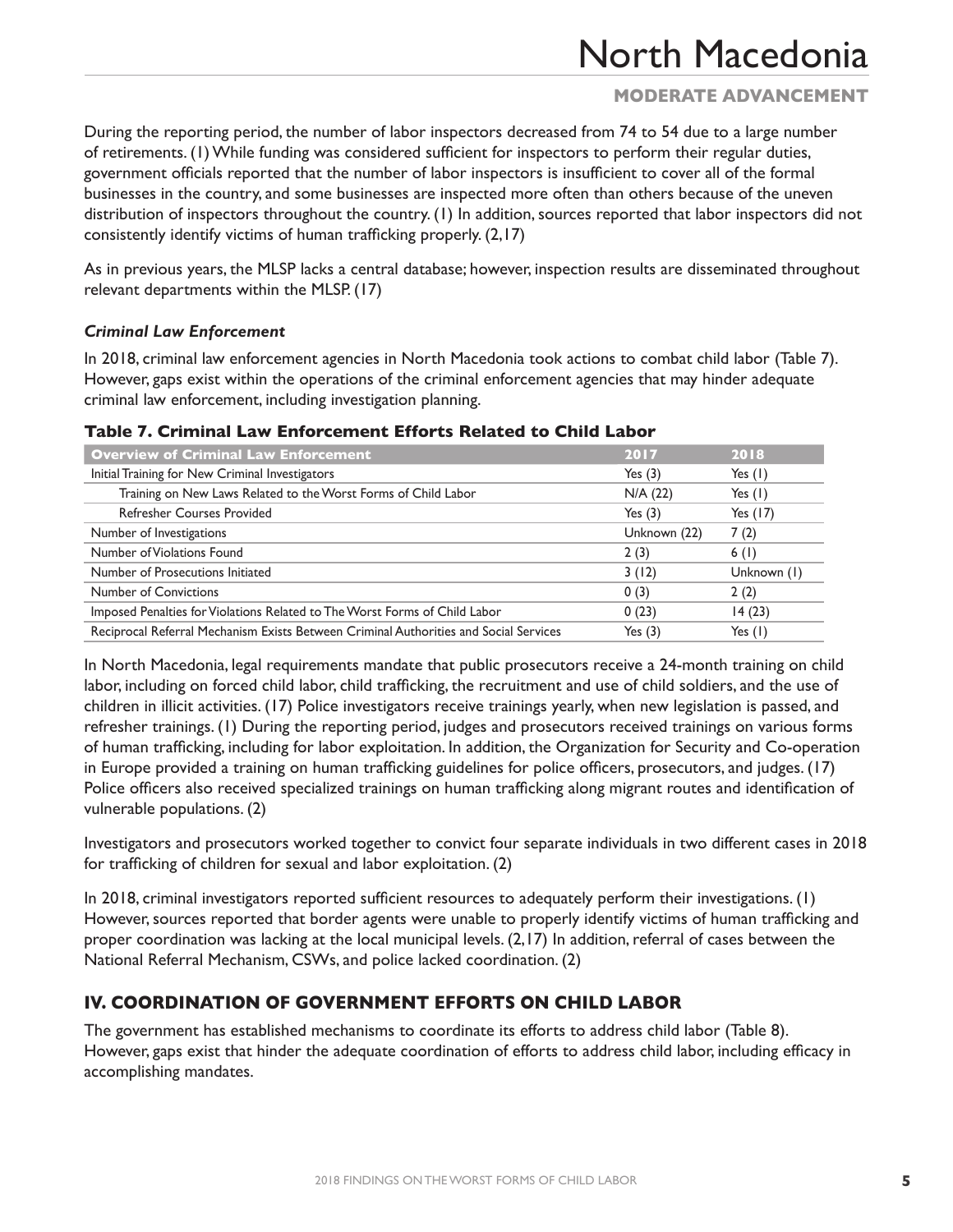## **MODERATE Advancement**

During the reporting period, the number of labor inspectors decreased from 74 to 54 due to a large number of retirements. (1) While funding was considered sufficient for inspectors to perform their regular duties, government officials reported that the number of labor inspectors is insufficient to cover all of the formal businesses in the country, and some businesses are inspected more often than others because of the uneven distribution of inspectors throughout the country. (1) In addition, sources reported that labor inspectors did not consistently identify victims of human trafficking properly. (2,17)

As in previous years, the MLSP lacks a central database; however, inspection results are disseminated throughout relevant departments within the MLSP. (17)

### *Criminal Law Enforcement*

In 2018, criminal law enforcement agencies in North Macedonia took actions to combat child labor (Table 7). However, gaps exist within the operations of the criminal enforcement agencies that may hinder adequate criminal law enforcement, including investigation planning.

| <b>Overview of Criminal Law Enforcement</b>                                           | 2017         | 2018        |
|---------------------------------------------------------------------------------------|--------------|-------------|
| Initial Training for New Criminal Investigators                                       | Yes $(3)$    | Yes $(1)$   |
| Training on New Laws Related to the Worst Forms of Child Labor                        | $N/A$ (22)   | Yes $(1)$   |
| <b>Refresher Courses Provided</b>                                                     | Yes $(3)$    | Yes $(17)$  |
| Number of Investigations                                                              | Unknown (22) | 7(2)        |
| Number of Violations Found                                                            | 2(3)         | 6(1)        |
| Number of Prosecutions Initiated                                                      | 3(12)        | Unknown (1) |
| Number of Convictions                                                                 | 0(3)         | 2(2)        |
| Imposed Penalties for Violations Related to The Worst Forms of Child Labor            | 0(23)        | 14(23)      |
| Reciprocal Referral Mechanism Exists Between Criminal Authorities and Social Services | Yes $(3)$    | Yes (1)     |

#### **Table 7. Criminal Law Enforcement Efforts Related to Child Labor**

In North Macedonia, legal requirements mandate that public prosecutors receive a 24-month training on child labor, including on forced child labor, child trafficking, the recruitment and use of child soldiers, and the use of children in illicit activities. (17) Police investigators receive trainings yearly, when new legislation is passed, and refresher trainings. (1) During the reporting period, judges and prosecutors received trainings on various forms of human trafficking, including for labor exploitation. In addition, the Organization for Security and Co-operation in Europe provided a training on human trafficking guidelines for police officers, prosecutors, and judges. (17) Police officers also received specialized trainings on human trafficking along migrant routes and identification of vulnerable populations. (2)

Investigators and prosecutors worked together to convict four separate individuals in two different cases in 2018 for trafficking of children for sexual and labor exploitation. (2)

In 2018, criminal investigators reported sufficient resources to adequately perform their investigations. (1) However, sources reported that border agents were unable to properly identify victims of human trafficking and proper coordination was lacking at the local municipal levels. (2,17) In addition, referral of cases between the National Referral Mechanism, CSWs, and police lacked coordination. (2)

## **IV. Coordination of Government Efforts on Child Labor**

The government has established mechanisms to coordinate its efforts to address child labor (Table 8). However, gaps exist that hinder the adequate coordination of efforts to address child labor, including efficacy in accomplishing mandates.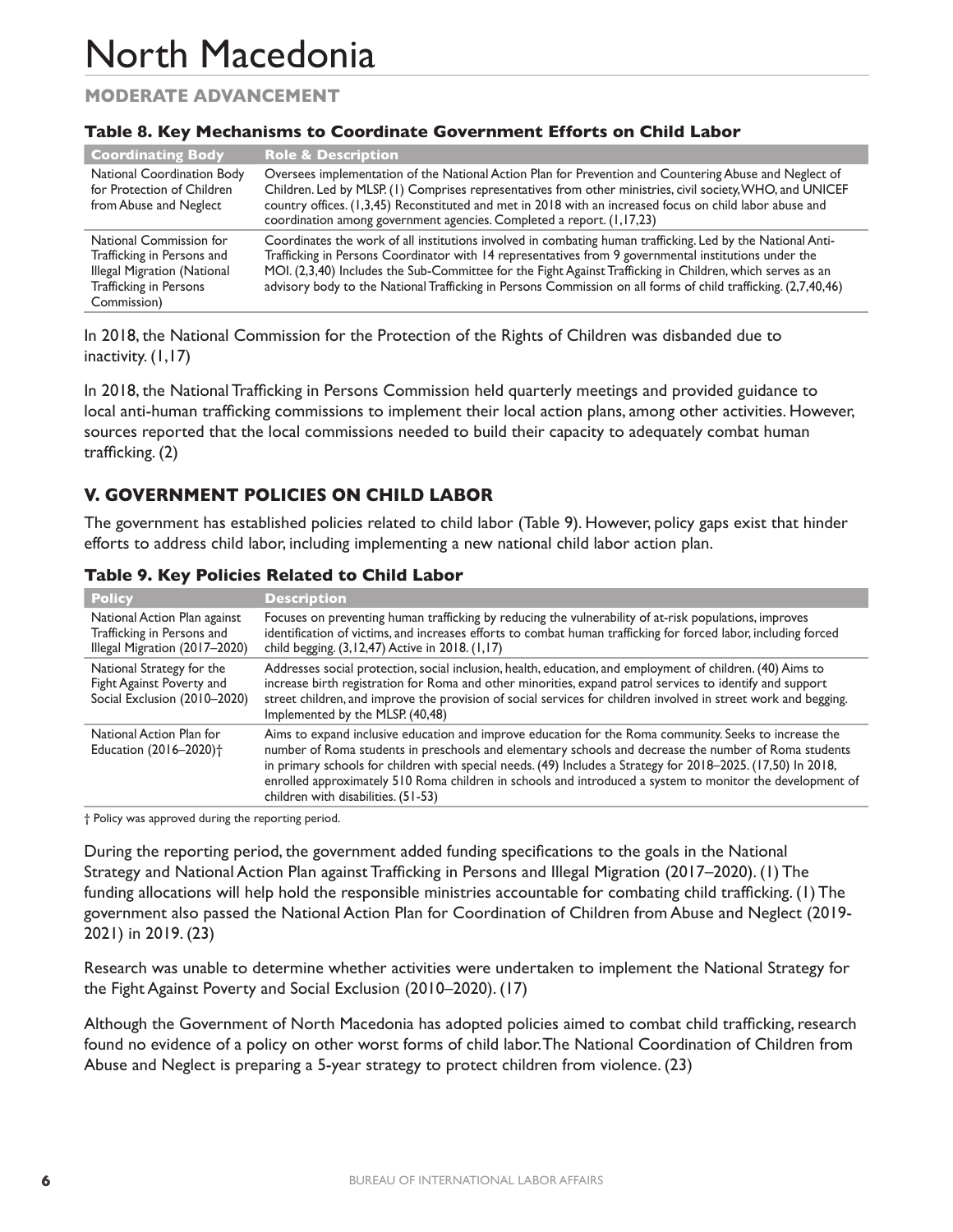## **MODERATE Advancement**

|                                                                                                                               | LAMIC OF ITCL I TECHNITISHIS CO GOOD MINACC GOVERNMENT ENDI CS ON GINNA EAMOR                                                                                                                                                                                                                                                                                                                                                                        |
|-------------------------------------------------------------------------------------------------------------------------------|------------------------------------------------------------------------------------------------------------------------------------------------------------------------------------------------------------------------------------------------------------------------------------------------------------------------------------------------------------------------------------------------------------------------------------------------------|
| <b>Coordinating Body</b>                                                                                                      | <b>Role &amp; Description</b>                                                                                                                                                                                                                                                                                                                                                                                                                        |
| National Coordination Body<br>for Protection of Children<br>from Abuse and Neglect                                            | Oversees implementation of the National Action Plan for Prevention and Countering Abuse and Neglect of<br>Children. Led by MLSP. (1) Comprises representatives from other ministries, civil society, WHO, and UNICEF<br>country offices. (1,3,45) Reconstituted and met in 2018 with an increased focus on child labor abuse and<br>coordination among government agencies. Completed a report. (1,17,23)                                            |
| National Commission for<br>Trafficking in Persons and<br>Illegal Migration (National<br>Trafficking in Persons<br>Commission) | Coordinates the work of all institutions involved in combating human trafficking. Led by the National Anti-<br>Trafficking in Persons Coordinator with 14 representatives from 9 governmental institutions under the<br>MOI. (2,3,40) Includes the Sub-Committee for the Fight Against Trafficking in Children, which serves as an<br>advisory body to the National Trafficking in Persons Commission on all forms of child trafficking. (2,7,40,46) |

#### **Table 8. Key Mechanisms to Coordinate Government Efforts on Child Labor**

In 2018, the National Commission for the Protection of the Rights of Children was disbanded due to inactivity. (1,17)

In 2018, the National Trafficking in Persons Commission held quarterly meetings and provided guidance to local anti-human trafficking commissions to implement their local action plans, among other activities. However, sources reported that the local commissions needed to build their capacity to adequately combat human trafficking. (2)

## **V. Government Policies on Child Labor**

The government has established policies related to child labor (Table 9). However, policy gaps exist that hinder efforts to address child labor, including implementing a new national child labor action plan.

| <b>Policy</b>                                                                               | <b>Description</b>                                                                                                                                                                                                                                                                                                                                                                                                                                                                  |
|---------------------------------------------------------------------------------------------|-------------------------------------------------------------------------------------------------------------------------------------------------------------------------------------------------------------------------------------------------------------------------------------------------------------------------------------------------------------------------------------------------------------------------------------------------------------------------------------|
| National Action Plan against<br>Trafficking in Persons and<br>Illegal Migration (2017-2020) | Focuses on preventing human trafficking by reducing the vulnerability of at-risk populations, improves<br>identification of victims, and increases efforts to combat human trafficking for forced labor, including forced<br>child begging. (3,12,47) Active in 2018. (1,17)                                                                                                                                                                                                        |
| National Strategy for the<br>Fight Against Poverty and<br>Social Exclusion (2010-2020)      | Addresses social protection, social inclusion, health, education, and employment of children. (40) Aims to<br>increase birth registration for Roma and other minorities, expand patrol services to identify and support<br>street children, and improve the provision of social services for children involved in street work and begging.<br>Implemented by the MLSP. (40,48)                                                                                                      |
| National Action Plan for<br>Education (2016-2020) <sup>+</sup>                              | Aims to expand inclusive education and improve education for the Roma community. Seeks to increase the<br>number of Roma students in preschools and elementary schools and decrease the number of Roma students<br>in primary schools for children with special needs. (49) Includes a Strategy for 2018-2025. (17,50) In 2018,<br>enrolled approximately 510 Roma children in schools and introduced a system to monitor the development of<br>children with disabilities. (51-53) |

#### **Table 9. Key Policies Related to Child Labor**

† Policy was approved during the reporting period.

During the reporting period, the government added funding specifications to the goals in the National Strategy and National Action Plan against Trafficking in Persons and Illegal Migration (2017–2020). (1) The funding allocations will help hold the responsible ministries accountable for combating child trafficking. (1) The government also passed the National Action Plan for Coordination of Children from Abuse and Neglect (2019- 2021) in 2019. (23)

Research was unable to determine whether activities were undertaken to implement the National Strategy for the Fight Against Poverty and Social Exclusion (2010–2020). (17)

Although the Government of North Macedonia has adopted policies aimed to combat child trafficking, research found no evidence of a policy on other worst forms of child labor. The National Coordination of Children from Abuse and Neglect is preparing a 5-year strategy to protect children from violence. (23)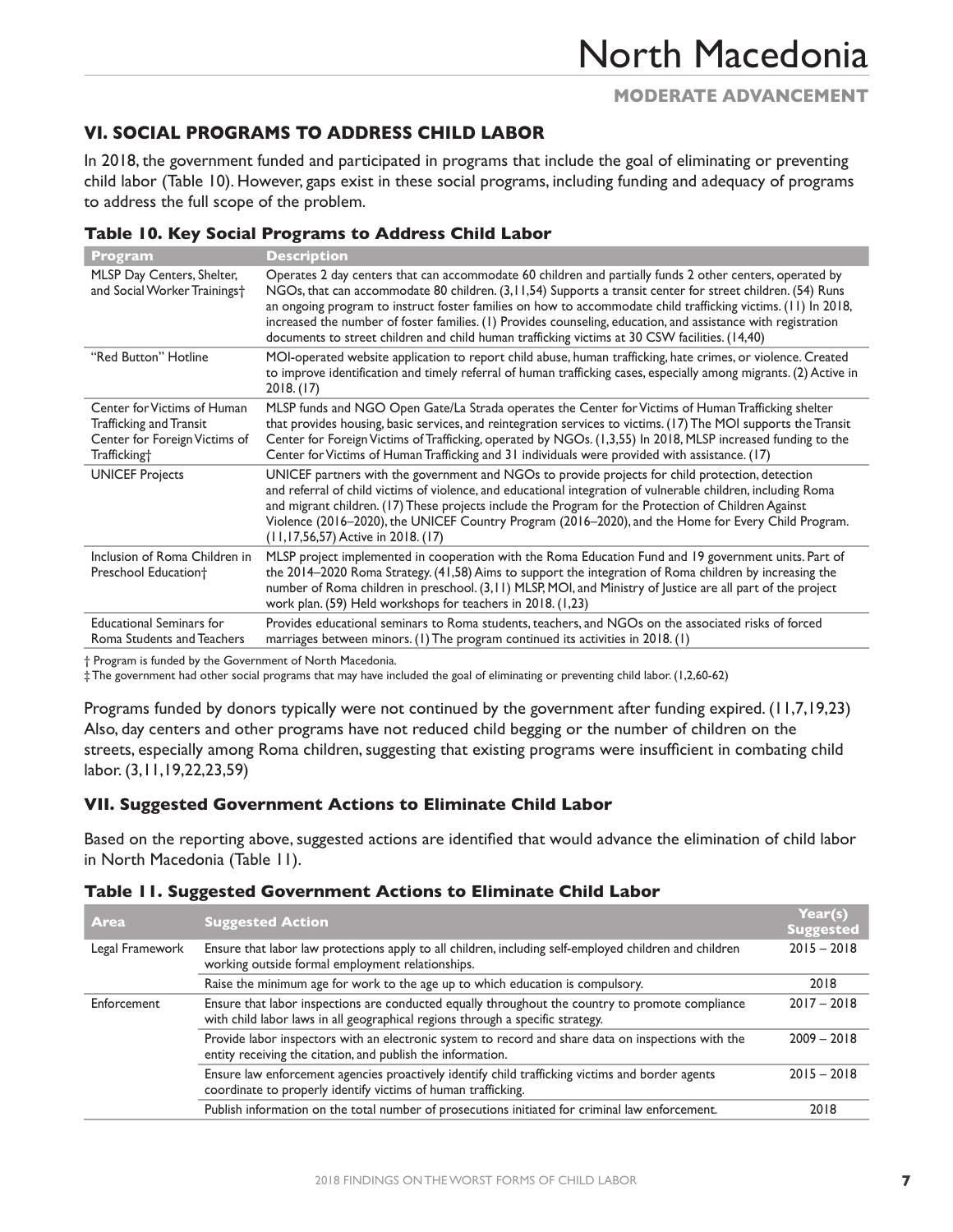## **VI. Social Programs to Address Child Labor**

In 2018, the government funded and participated in programs that include the goal of eliminating or preventing child labor (Table 10). However, gaps exist in these social programs, including funding and adequacy of programs to address the full scope of the problem.

| <b>Program</b>                                                                                                      | <b>Description</b>                                                                                                                                                                                                                                                                                                                                                                                                                                                                                                                                           |
|---------------------------------------------------------------------------------------------------------------------|--------------------------------------------------------------------------------------------------------------------------------------------------------------------------------------------------------------------------------------------------------------------------------------------------------------------------------------------------------------------------------------------------------------------------------------------------------------------------------------------------------------------------------------------------------------|
| MLSP Day Centers, Shelter,<br>and Social Worker Trainings†                                                          | Operates 2 day centers that can accommodate 60 children and partially funds 2 other centers, operated by<br>NGOs, that can accommodate 80 children. (3, 11, 54) Supports a transit center for street children. (54) Runs<br>an ongoing program to instruct foster families on how to accommodate child trafficking victims. (11) In 2018,<br>increased the number of foster families. (1) Provides counseling, education, and assistance with registration<br>documents to street children and child human trafficking victims at 30 CSW facilities. (14,40) |
| "Red Button" Hotline                                                                                                | MOI-operated website application to report child abuse, human trafficking, hate crimes, or violence. Created<br>to improve identification and timely referral of human trafficking cases, especially among migrants. (2) Active in<br>2018. (17)                                                                                                                                                                                                                                                                                                             |
| Center for Victims of Human<br>Trafficking and Transit<br>Center for Foreign Victims of<br>Trafficking <sup>+</sup> | MLSP funds and NGO Open Gate/La Strada operates the Center for Victims of Human Trafficking shelter<br>that provides housing, basic services, and reintegration services to victims. (17) The MOI supports the Transit<br>Center for Foreign Victims of Trafficking, operated by NGOs. (1,3,55) In 2018, MLSP increased funding to the<br>Center for Victims of Human Trafficking and 31 individuals were provided with assistance. (17)                                                                                                                     |
| <b>UNICEF Projects</b>                                                                                              | UNICEF partners with the government and NGOs to provide projects for child protection, detection<br>and referral of child victims of violence, and educational integration of vulnerable children, including Roma<br>and migrant children. (17) These projects include the Program for the Protection of Children Against<br>Violence (2016–2020), the UNICEF Country Program (2016–2020), and the Home for Every Child Program.<br>$(11, 17, 56, 57)$ Active in 2018. (17)                                                                                  |
| Inclusion of Roma Children in<br>Preschool Education <sup>+</sup>                                                   | MLSP project implemented in cooperation with the Roma Education Fund and 19 government units. Part of<br>the 2014–2020 Roma Strategy. (41,58) Aims to support the integration of Roma children by increasing the<br>number of Roma children in preschool. (3,11) MLSP, MOI, and Ministry of Justice are all part of the project<br>work plan. (59) Held workshops for teachers in 2018. (1,23)                                                                                                                                                               |
| <b>Educational Seminars for</b><br>Roma Students and Teachers                                                       | Provides educational seminars to Roma students, teachers, and NGOs on the associated risks of forced<br>marriages between minors. (1) The program continued its activities in 2018. (1)                                                                                                                                                                                                                                                                                                                                                                      |

#### **Table 10. Key Social Programs to Address Child Labor**

† Program is funded by the Government of North Macedonia.

‡ The government had other social programs that may have included the goal of eliminating or preventing child labor. (1,2,60-62)

Programs funded by donors typically were not continued by the government after funding expired. (11,7,19,23) Also, day centers and other programs have not reduced child begging or the number of children on the streets, especially among Roma children, suggesting that existing programs were insufficient in combating child labor. (3,11,19,22,23,59)

#### **VII. Suggested Government Actions to Eliminate Child Labor**

Based on the reporting above, suggested actions are identified that would advance the elimination of child labor in North Macedonia (Table 11).

| Table II. Suggested Government Actions to Eliminate Child Labor |  |  |  |  |
|-----------------------------------------------------------------|--|--|--|--|
|-----------------------------------------------------------------|--|--|--|--|

| Area            | <b>Suggested Action</b>                                                                                                                                                            | Year(s)<br><b>Suggested</b> |
|-----------------|------------------------------------------------------------------------------------------------------------------------------------------------------------------------------------|-----------------------------|
| Legal Framework | Ensure that labor law protections apply to all children, including self-employed children and children<br>working outside formal employment relationships.                         | $2015 - 2018$               |
|                 | Raise the minimum age for work to the age up to which education is compulsory.                                                                                                     | 2018                        |
| Enforcement     | Ensure that labor inspections are conducted equally throughout the country to promote compliance<br>with child labor laws in all geographical regions through a specific strategy. | $2017 - 2018$               |
|                 | Provide labor inspectors with an electronic system to record and share data on inspections with the<br>entity receiving the citation, and publish the information.                 | $2009 - 2018$               |
|                 | Ensure law enforcement agencies proactively identify child trafficking victims and border agents<br>coordinate to properly identify victims of human trafficking.                  | $2015 - 2018$               |
|                 | Publish information on the total number of prosecutions initiated for criminal law enforcement.                                                                                    | 2018                        |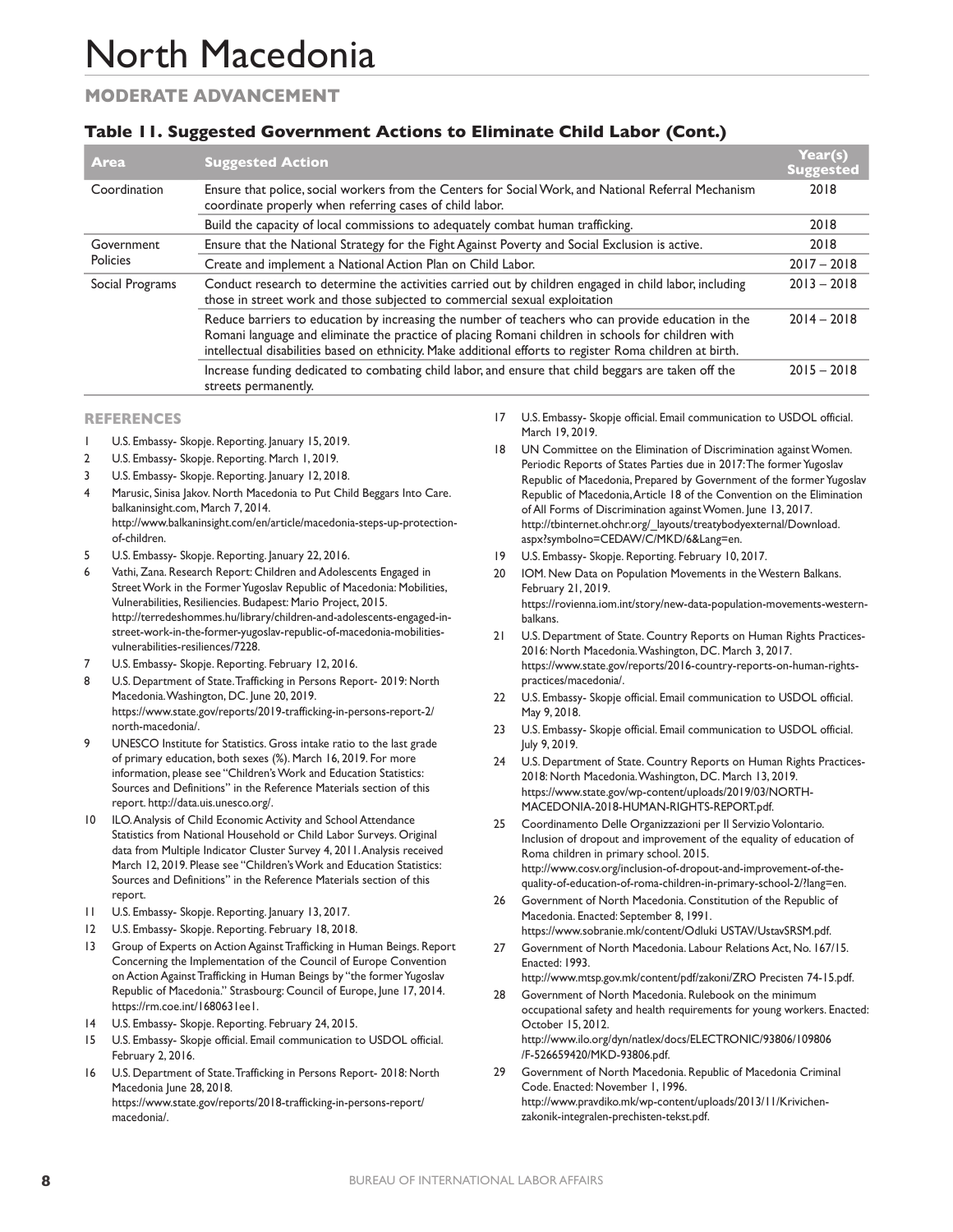## **MODERATE Advancement**

### **Table 11. Suggested Government Actions to Eliminate Child Labor (Cont.)**

| <b>Area</b>            | <b>Suggested Action</b>                                                                                                                                                                                                                                                                                               | Year(s)<br><b>Suggested</b> |
|------------------------|-----------------------------------------------------------------------------------------------------------------------------------------------------------------------------------------------------------------------------------------------------------------------------------------------------------------------|-----------------------------|
| Coordination           | Ensure that police, social workers from the Centers for Social Work, and National Referral Mechanism<br>coordinate properly when referring cases of child labor.                                                                                                                                                      | 2018                        |
|                        | Build the capacity of local commissions to adequately combat human trafficking.                                                                                                                                                                                                                                       | 2018                        |
| Government<br>Policies | Ensure that the National Strategy for the Fight Against Poverty and Social Exclusion is active.                                                                                                                                                                                                                       | 2018                        |
|                        | Create and implement a National Action Plan on Child Labor.                                                                                                                                                                                                                                                           | $2017 - 2018$               |
| Social Programs        | Conduct research to determine the activities carried out by children engaged in child labor, including<br>those in street work and those subjected to commercial sexual exploitation                                                                                                                                  | $2013 - 2018$               |
|                        | Reduce barriers to education by increasing the number of teachers who can provide education in the<br>Romani language and eliminate the practice of placing Romani children in schools for children with<br>intellectual disabilities based on ethnicity. Make additional efforts to register Roma children at birth. | $2014 - 2018$               |
|                        | Increase funding dedicated to combating child labor, and ensure that child beggars are taken off the<br>streets permanently.                                                                                                                                                                                          | $2015 - 2018$               |

#### **References**

- 1 U.S. Embassy- Skopje. Reporting. January 15, 2019.
- 2 U.S. Embassy- Skopje. Reporting. March 1, 2019.
- 3 U.S. Embassy- Skopje. Reporting. January 12, 2018.
- 4 Marusic, Sinisa Jakov. North Macedonia to Put Child Beggars Into Care. balkaninsight.com, March 7, 2014. http://www.balkaninsight.com/en/article/macedonia-steps-up-protectionof-children.
- U.S. Embassy- Skopje. Reporting. January 22, 2016.
- 6 Vathi, Zana. Research Report: Children and Adolescents Engaged in Street Work in the Former Yugoslav Republic of Macedonia: Mobilities, Vulnerabilities, Resiliencies. Budapest: Mario Project, 2015. http://terredeshommes.hu/library/children-and-adolescents-engaged-instreet-work-in-the-former-yugoslav-republic-of-macedonia-mobilitiesvulnerabilities-resiliences/7228.
- 7 U.S. Embassy- Skopje. Reporting. February 12, 2016.
- 8 U.S. Department of State. Trafficking in Persons Report- 2019: North Macedonia. Washington, DC. June 20, 2019. https://www.state.gov/reports/2019-trafficking-in-persons-report-2/ north-macedonia/.
- 9 UNESCO Institute for Statistics. Gross intake ratio to the last grade of primary education, both sexes (%). March 16, 2019. For more information, please see "Children's Work and Education Statistics: Sources and Definitions" in the Reference Materials section of this report. http://data.uis.unesco.org/.
- 10 ILO. Analysis of Child Economic Activity and School Attendance Statistics from National Household or Child Labor Surveys. Original data from Multiple Indicator Cluster Survey 4, 2011. Analysis received March 12, 2019. Please see "Children's Work and Education Statistics: Sources and Definitions" in the Reference Materials section of this report.
- 11 U.S. Embassy- Skopje. Reporting. January 13, 2017.
- 12 U.S. Embassy- Skopje. Reporting. February 18, 2018.
- 13 Group of Experts on Action Against Trafficking in Human Beings. Report Concerning the Implementation of the Council of Europe Convention on Action Against Trafficking in Human Beings by "the former Yugoslav Republic of Macedonia." Strasbourg: Council of Europe, June 17, 2014. https://rm.coe.int/1680631ee1.
- 14 U.S. Embassy- Skopje. Reporting. February 24, 2015.
- 15 U.S. Embassy- Skopje official. Email communication to USDOL official. February 2, 2016.
- 16 U.S. Department of State. Trafficking in Persons Report- 2018: North Macedonia June 28, 2018. https://www.state.gov/reports/2018-trafficking-in-persons-report/ macedonia/.
- 17 U.S. Embassy- Skopje official. Email communication to USDOL official. March 19, 2019.
- 18 UN Committee on the Elimination of Discrimination against Women. Periodic Reports of States Parties due in 2017: The former Yugoslav Republic of Macedonia, Prepared by Government of the former Yugoslav Republic of Macedonia, Article 18 of the Convention on the Elimination of All Forms of Discrimination against Women. June 13, 2017. http://tbinternet.ohchr.org/\_layouts/treatybodyexternal/Download. aspx?symbolno=CEDAW/C/MKD/6&Lang=en.
- 19 U.S. Embassy- Skopje. Reporting. February 10, 2017.
- 20 IOM. New Data on Population Movements in the Western Balkans. February 21, 2019. https://rovienna.iom.int/story/new-data-population-movements-westernbalkans.
- 21 U.S. Department of State. Country Reports on Human Rights Practices-2016: North Macedonia. Washington, DC. March 3, 2017. https://www.state.gov/reports/2016-country-reports-on-human-rightspractices/macedonia/.
- 22 U.S. Embassy- Skopje official. Email communication to USDOL official. May 9, 2018.
- 23 U.S. Embassy- Skopje official. Email communication to USDOL official. July 9, 2019.
- 24 U.S. Department of State. Country Reports on Human Rights Practices-2018: North Macedonia. Washington, DC. March 13, 2019. https://www.state.gov/wp-content/uploads/2019/03/NORTH-MACEDONIA-2018-HUMAN-RIGHTS-REPORT.pdf.
- 25 Coordinamento Delle Organizzazioni per Il Servizio Volontario. Inclusion of dropout and improvement of the equality of education of Roma children in primary school. 2015. http://www.cosv.org/inclusion-of-dropout-and-improvement-of-thequality-of-education-of-roma-children-in-primary-school-2/?lang=en.
- 26 Government of North Macedonia. Constitution of the Republic of Macedonia. Enacted: September 8, 1991. https://www.sobranie.mk/content/Odluki USTAV/UstavSRSM.pdf.
- 27 Government of North Macedonia. Labour Relations Act, No. 167/15. Enacted: 1993.

http://www.mtsp.gov.mk/content/pdf/zakoni/ZRO Precisten 74-15.pdf. 28 Government of North Macedonia. Rulebook on the minimum

- occupational safety and health requirements for young workers. Enacted: October 15, 2012. http://www.ilo.org/dyn/natlex/docs/ELECTRONIC/93806/109806 /F-526659420/MKD-93806.pdf.
- 29 Government of North Macedonia. Republic of Macedonia Criminal Code. Enacted: November 1, 1996. http://www.pravdiko.mk/wp-content/uploads/2013/11/Krivichenzakonik-integralen-prechisten-tekst.pdf.